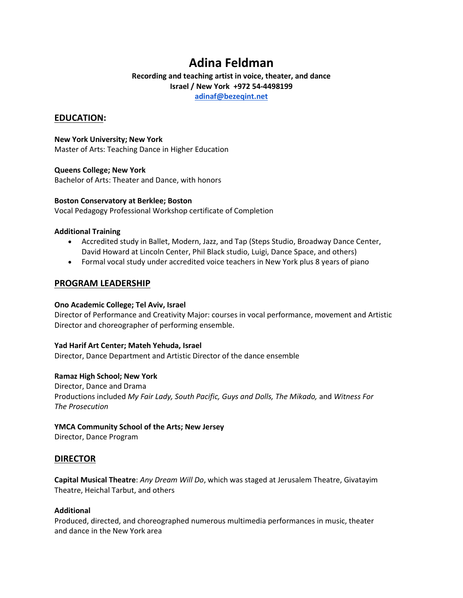# **Adina Feldman**

# **Recording and teaching artist in voice, theater, and dance Israel / New York +972 54-4498199**

**[adinaf@bezeqint.net](mailto:adinaf@bezeqint.net)**

# **EDUCATION:**

**New York University; New York** Master of Arts: Teaching Dance in Higher Education

#### **Queens College; New York**

Bachelor of Arts: Theater and Dance, with honors

#### **Boston Conservatory at Berklee; Boston**

Vocal Pedagogy Professional Workshop certificate of Completion

#### **Additional Training**

- Accredited study in Ballet, Modern, Jazz, and Tap (Steps Studio, Broadway Dance Center, David Howard at Lincoln Center, Phil Black studio, Luigi, Dance Space, and others)
- Formal vocal study under accredited voice teachers in New York plus 8 years of piano

# **PROGRAM LEADERSHIP**

#### **Ono Academic College; Tel Aviv, Israel**

Director of Performance and Creativity Major: courses in vocal performance, movement and Artistic Director and choreographer of performing ensemble.

#### **Yad Harif Art Center; Mateh Yehuda, Israel**

Director, Dance Department and Artistic Director of the dance ensemble

#### **Ramaz High School; New York**

Director, Dance and Drama Productions included *My Fair Lady, South Pacific, Guys and Dolls, The Mikado,* and *Witness For The Prosecution*

#### **YMCA Community School of the Arts; New Jersey**

Director, Dance Program

#### **DIRECTOR**

**Capital Musical Theatre**: *Any Dream Will Do*, which was staged at Jerusalem Theatre, Givatayim Theatre, Heichal Tarbut, and others

#### **Additional**

Produced, directed, and choreographed numerous multimedia performances in music, theater and dance in the New York area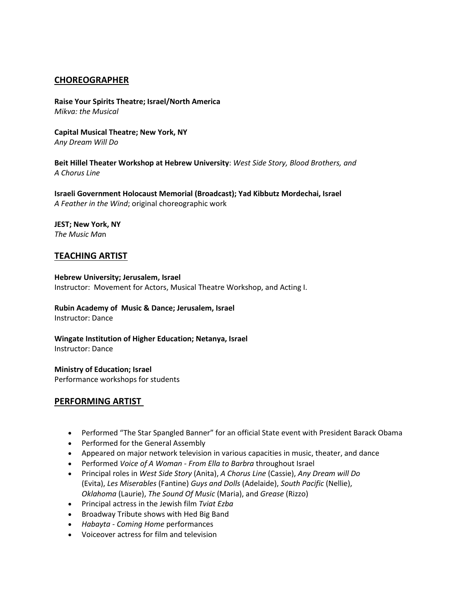# **CHOREOGRAPHER**

**Raise Your Spirits Theatre; Israel/North America** *Mikva: the Musical*

**Capital Musical Theatre; New York, NY** *Any Dream Will Do*

**Beit Hillel Theater Workshop at Hebrew University**: *West Side Story, Blood Brothers, and A Chorus Line*

**Israeli Government Holocaust Memorial (Broadcast); Yad Kibbutz Mordechai, Israel** *A Feather in the Wind*; original choreographic work

**JEST; New York, NY** *The Music Ma*n

# **TEACHING ARTIST**

**Hebrew University; Jerusalem, Israel** Instructor: Movement for Actors, Musical Theatre Workshop, and Acting I.

**Rubin Academy of Music & Dance; Jerusalem, Israel** Instructor: Dance

**Wingate Institution of Higher Education; Netanya, Israel** Instructor: Dance

**Ministry of Education; Israel** Performance workshops for students

# **PERFORMING ARTIST**

- Performed "The Star Spangled Banner" for an official State event with President Barack Obama
- Performed for the General Assembly
- Appeared on major network television in various capacities in music, theater, and dance
- Performed *Voice of A Woman - From Ella to Barbra* throughout Israel
- Principal roles in *West Side Story* (Anita), *A Chorus Line* (Cassie), *Any Dream will Do*  (Evita), *Les Miserables* (Fantine) *Guys and Dolls* (Adelaide), *South Pacific* (Nellie), *Oklahoma* (Laurie), *The Sound Of Music* (Maria), and *Grease* (Rizzo)
- Principal actress in the Jewish film *Tviat Ezba*
- Broadway Tribute shows with Hed Big Band
- *Habayta - Coming Home* performances
- Voiceover actress for film and television